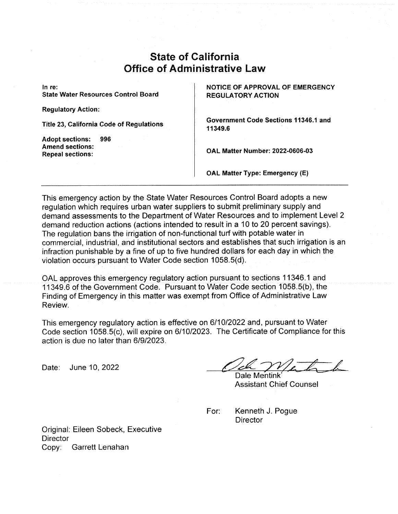## State of California Office of Administrative Law

In re: State Water Resources Control Board

Regulatory Action:

Title 23, California Code of Regulations

Adopt sections: 996 Amend sections: Repeal sections:

NOTICE OF APPROVAL OF EMERGENCY REGULATORY ACTION

Government Code Sections 11346.1 and 11349.6

OAL Matter Number: 2022-0606-03

OAL Matter Type: Emergency (E)

This emergency action by the State Water Resources Control Board adopts a new regulation which requires urban water suppliers to submit preliminary supply and demand assessments to the Department of Water Resources and to implement Level 2 demand reduction actions (actions intended to result in a 10 to 20 percent savings). The regulation bans the irrigation of non-functional turf with potable water in commercial, industrial, and institutional sectors and establishes that such irrigation is an infraction punishable by a fine of up to five hundred dollars for each day in which the violation occurs pursuant to Water Code section 1058.5(d).

OAL approves this emergency regulatory action pursuant to sections 11346.1 and 11349.6 of the Government Gode. Pursuant to Water Code section 1058.5(b}, the Finding of Emergency in this matter was exempt from Office of Administrative Law Review.

This emergency regulatory action is effective on 6/10/2022 and, pursuant to Water Code section 1058.5(c), will expire on 6/10/2023. The Certificate of Compliance for this action is due no later than 6/9/2023.

action is due no later than 6/9/2023.<br>Date: June 10, 2022 <br>Dale Mentink

Dale Mentink` Assistant Chief Counsel

For: Kenneth J. Pogue **Director** 

Original: Eileen Sobeck, Executive **Director** Copy: Garrett Lenahan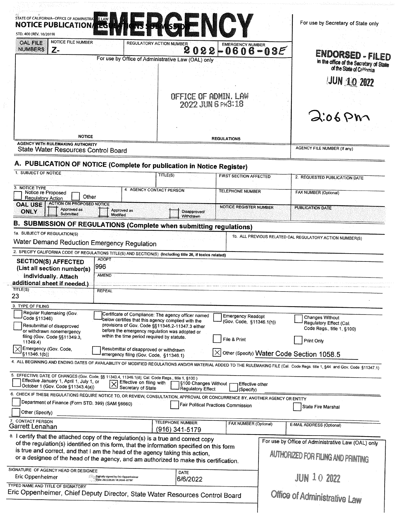| STD. 400 (REV. 10/2019)                                                                                                               | <b>NOTICE PUBLICATION</b>                                                                                                                                                                                                                                         | <b>AKSPENCY</b>                           |                                                      | For use by Secretary of State only                                                                                                                                                                                                 |
|---------------------------------------------------------------------------------------------------------------------------------------|-------------------------------------------------------------------------------------------------------------------------------------------------------------------------------------------------------------------------------------------------------------------|-------------------------------------------|------------------------------------------------------|------------------------------------------------------------------------------------------------------------------------------------------------------------------------------------------------------------------------------------|
| NOTICE FILE NUMBER<br><b>OAL FILE</b><br><b>NUMBERS</b><br>Z-                                                                         | <b>REGULATORY ACTION NUMBER</b>                                                                                                                                                                                                                                   | 2<br>22<br>U                              | <b>EMERGENCY NUMBER</b><br>$-0606 - 03E$             |                                                                                                                                                                                                                                    |
|                                                                                                                                       | For use by Office of Administrative Law (OAL) only                                                                                                                                                                                                                |                                           |                                                      | ENDORSED - FILED<br>in the office of the Secretary of State<br>of the State of California                                                                                                                                          |
|                                                                                                                                       |                                                                                                                                                                                                                                                                   |                                           |                                                      | <b>JUN 10 2022</b>                                                                                                                                                                                                                 |
|                                                                                                                                       |                                                                                                                                                                                                                                                                   | OFFICE OF ADMIN, LAW<br>2022 JUN 6 PH3:18 |                                                      |                                                                                                                                                                                                                                    |
|                                                                                                                                       |                                                                                                                                                                                                                                                                   |                                           |                                                      | 2.06P                                                                                                                                                                                                                              |
|                                                                                                                                       |                                                                                                                                                                                                                                                                   |                                           |                                                      |                                                                                                                                                                                                                                    |
| <b>NOTICE</b><br><b>REGULATIONS</b><br><b>AGENCY WITH RULEMAKING AUTHORITY</b><br>State Water Resources Control Board                 |                                                                                                                                                                                                                                                                   |                                           |                                                      | AGENCY FILE NUMBER (If any)                                                                                                                                                                                                        |
|                                                                                                                                       | A. PUBLICATION OF NOTICE (Complete for publication in Notice Register)                                                                                                                                                                                            |                                           |                                                      |                                                                                                                                                                                                                                    |
| 1. SUBJECT OF NOTICE                                                                                                                  |                                                                                                                                                                                                                                                                   | TITLE(S)                                  | FIRST SECTION AFFECTED                               | 2. REQUESTED PUBLICATION DATE                                                                                                                                                                                                      |
| 3. NOTICE TYPE<br>Notice re Proposed<br><b>Regulatory Action</b>                                                                      | 4. AGENCY CONTACT PERSON<br>Other                                                                                                                                                                                                                                 |                                           | <b>TELEPHONE NUMBER</b>                              | <b>FAX NUMBER (Optional)</b>                                                                                                                                                                                                       |
| <b>ACTION ON PROPOSED NOTICE</b><br><b>OAL USE</b><br>Approved as<br>ONLY<br>Submitted                                                | Approved as<br>Modified                                                                                                                                                                                                                                           | Disapproved/                              | <b>NOTICE REGISTER NUMBER</b>                        | <b>PUBLICATION DATE</b>                                                                                                                                                                                                            |
|                                                                                                                                       | <b>B. SUBMISSION OF REGULATIONS (Complete when submitting regulations)</b>                                                                                                                                                                                        | Withdrawn                                 |                                                      |                                                                                                                                                                                                                                    |
| 1a. SUBJECT OF REGULATION(S)                                                                                                          |                                                                                                                                                                                                                                                                   |                                           |                                                      | 1b. ALL PREVIOUS RELATED OAL REGULATORY ACTION NUMBER(S)                                                                                                                                                                           |
|                                                                                                                                       | Water Demand Reduction Emergency Regulation                                                                                                                                                                                                                       |                                           |                                                      |                                                                                                                                                                                                                                    |
|                                                                                                                                       | 2. SPECIFY CALIFORNIA CODE OF REGULATIONS TITLE(S) AND SECTION(S) (Including title 26, if toxics related)                                                                                                                                                         |                                           |                                                      |                                                                                                                                                                                                                                    |
| <b>SECTION(S) AFFECTED</b><br>(List all section number(s)                                                                             | <b>ADOPT</b><br>996                                                                                                                                                                                                                                               |                                           |                                                      |                                                                                                                                                                                                                                    |
| individually. Attach                                                                                                                  | <b>AMEND</b>                                                                                                                                                                                                                                                      |                                           |                                                      |                                                                                                                                                                                                                                    |
|                                                                                                                                       |                                                                                                                                                                                                                                                                   |                                           |                                                      |                                                                                                                                                                                                                                    |
|                                                                                                                                       | <b>REPEAL</b>                                                                                                                                                                                                                                                     |                                           |                                                      |                                                                                                                                                                                                                                    |
|                                                                                                                                       |                                                                                                                                                                                                                                                                   |                                           |                                                      |                                                                                                                                                                                                                                    |
| Regular Rulemaking (Gov.<br>Code §11346)                                                                                              | Certificate of Compliance: The agency officer named<br>below certifies that this agency complied with the                                                                                                                                                         |                                           | <b>Emergency Readopt</b><br>(Gov. Code, §11346.1(h)) | Changes Without<br>Regulatory Effect (Cal.                                                                                                                                                                                         |
| Resubmittal of disapproved<br>or withdrawn nonemergency<br>filing (Gov. Code §§11349.3,                                               | provisions of Gov. Code §§11346.2-11347.3 either<br>before the emergency regulation was adopted or<br>within the time period required by statute.                                                                                                                 |                                           |                                                      | Code Regs., title 1, §100)                                                                                                                                                                                                         |
| additional sheet if needed.)<br>TITE(S)<br>23<br>3. TYPE OF FILING<br>11349.4)<br>Emergency (Gov. Code,<br>§11346.1(b))               | Resubmittal of disapproved or withdrawn                                                                                                                                                                                                                           |                                           | File & Print                                         | Print Only                                                                                                                                                                                                                         |
|                                                                                                                                       | emergency filing (Gov. Code, §11346.1)                                                                                                                                                                                                                            |                                           |                                                      | $\times$ Other (Specify) Water Code Section 1058.5<br>4. ALL BEGINNING AND ENDING DATES OF AVAILABILITY OF MODIFIED REGULATIONS AND/OR MATERIAL ADDED TO THE RULEMAKING FILE (Cal. Code Regs. title 1, §44 and Gov. Code §11347.1) |
| Effective January 1, April 1, July 1, or<br>October 1 (Gov. Code §11343.4(a))                                                         | 5. EFFECTIVE DATE OF CHANGES (Gov. Code, §§ 11343.4, 11346.1(d); Cal. Code Regs., title 1, §100)<br>Effective on filing with<br>$\overline{\mathsf{x}}$                                                                                                           | §100 Changes Without                      | Effective other                                      |                                                                                                                                                                                                                                    |
|                                                                                                                                       | Secretary of State<br>6. CHECK IF THESE REGULATIONS REQUIRE NOTICE TO, OR REVIEW, CONSULTATION, APPROVAL OR CONCURRENCE BY, ANOTHER AGENCY OR ENTITY                                                                                                              | <b>Regulatory Effect</b>                  | (Specify)                                            |                                                                                                                                                                                                                                    |
| Department of Finance (Form STD. 399) (SAM §6660)<br>Other (Specify)                                                                  |                                                                                                                                                                                                                                                                   |                                           | <b>Fair Political Practices Commission</b>           | State Fire Marshal                                                                                                                                                                                                                 |
|                                                                                                                                       |                                                                                                                                                                                                                                                                   | <b>TELEPHONE NUMBER</b><br>(916) 341-5179 | FAX NUMBER (Optional)                                | E-MAIL ADDRESS (Optional)                                                                                                                                                                                                          |
|                                                                                                                                       | 8. I certify that the attached copy of the regulation(s) is a true and correct copy<br>of the regulation(s) identified on this form, that the information specified on this form<br>is true and correct, and that I am the head of the agency taking this action, |                                           |                                                      | For use by Office of Administrative Law (OAL) only                                                                                                                                                                                 |
|                                                                                                                                       | or a designee of the head of the agency, and am authorized to make this certification.<br>Digitally signed by Eric Oppenheimer                                                                                                                                    | DATE                                      |                                                      | AUTHORIZED FOR FILING AND PRINTING                                                                                                                                                                                                 |
| 7. CONTACT PERSON<br>Garrett Lenahan<br>SIGNATURE OF AGENCY HEAD OR DESIGNEE<br>Eric Oppenheimer<br>TYPED NAME AND TITLE OF SIGNATORY | Date: 2022.06.06 14:24:44 -07'00'<br>Eric Oppenheimer, Chief Deputy Director, State Water Resources Control Board                                                                                                                                                 | 6/6/2022                                  |                                                      | <b>JUN 10 2022</b><br>Office of Administrative Law                                                                                                                                                                                 |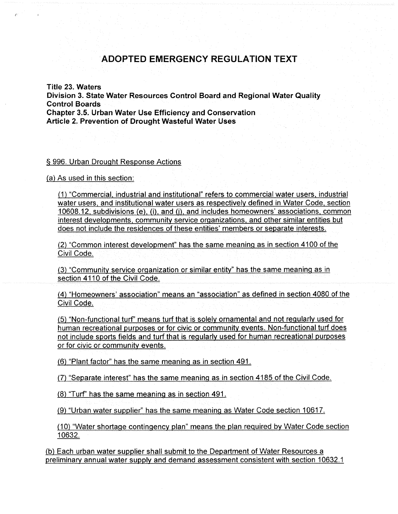## ADOPTED EMERGENCY REGULATION TEXT

Title 23. Waters Division 3. State Water Resources Control Board and Regional Water Quality Control Boards Chapter 3.5. Urban Water Use Efficiency and Conservation Article. 2. Prevention of Drought Wasteful Water Uses

## 996. Urban Drought Response Actions

 $(a)$  As used in this section:

(1) "Commercial, industrial and institutional" refers to commercial water users, industrial water users, and institutional water users as respectively defined in Water Code, section  $10608.12$ , subdivisions (e), (i), and (j), and includes homeowners' associations, common interest developments, community service organizations, and other similar entities but does not include the residences of these entities' members or separate interests.

~2) "Common interest development' has the same meaning as in section 4100 of the Civil Code.

(3) "Community service organization or similar entity" has the same meaning as in section 4110 of the Civil Code.

~4) "Homeowners' association" means an "association" as defined in section 4080 of the Civil Code.

(5) "Non-functional turf" means turf that is solely ornamental and not regularly used for human recreational purposes or for civic or community events. Non-functional turf does not include sports fields and turf that is regularly used for human recreational purposes or for civic or community events.

 $(6)$  "Plant factor" has the same meaning as in section 491.

(7) "Separate interest" has the same meaning as in section 4185 of the Civil Code.

(8) "Turf" has the same meaning as in section 491.

(9} "Urban water supplier" has the same meaning as Water Code section 10617.

 $(10)$  "Water shortage contingency plan" means the plan required by Water Code section 10632.

(b) Each urban water supplier shall submit to the Department of Water Resources a preliminary annual water supply and demand assessment consistent with section 10632.1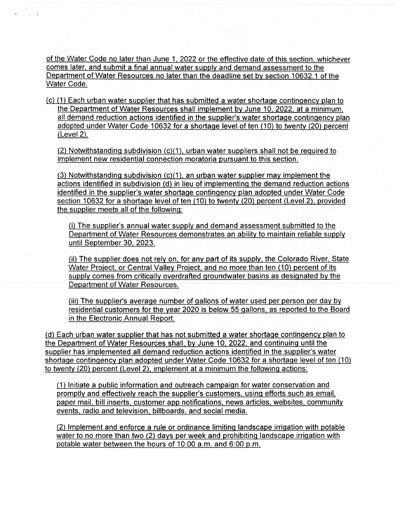of the Water Cade no later than June 1 2022 or the effective date of this section whichever comes later, and submit a final annual water supply and demand assessment to the Department of Water Resources no later than the deadline set by section 10632.1 of the Water Code.

 $(c)$  (1) Each urban water supplier that has submitted a water shortage contingency plan to the Department of Water Resources shall implement by June 10, 2022, at a minimum, all demand reduction actions identified in the supplier's water shortage contingency plan adopted under Water Code 10632 for a shortage level of ten (10) to twenty (20) percent  $(Level 2).$ 

(2 Notwithstanding subdivision (c)(1), urban water suppliers shall not be required to implement new residential connection moratoria pursuant to this section.

(3) Notwithstanding subdivision (c)(1), an urban water supplier may implement the actions identified in subdivision (d) in lieu of implementing the demand reduction actions identified in the supplier's water shortage contingency plan adopted under Water Code section 10632 for a shortage level of ten (10) to twenty (20) percent (Level 2), provided the supplier meets all of the following:

(i) The supplier's annual water supply and demand assessment submitted to the Department of Water Resources demonstrates an ability to maintain reliable supply until September 30, 2023.

(ii) The supplier does not rely on, for any part of its supply, the Colorado River, State Water Project, or Central Valley Project, and no more than ten (10) percent of its supply comes from critically overdrafted groundwater basins as designated by the Department of Water Resources.

(iii) The supplier's average number of gallons of water used per person per day by residential customers for the year 2020 is below 55 gallons, as reported to the Board in the Electronic Annual Report.

(d) Each urban water supplier that has not submitted a water shortage contingency plan to the Department of Water Resources shall, by June 10, 2022, and continuing until the supplier has implemented all demand reduction actions identified in the supplier's water shortage contingency plan adopted under Water Code 10632 for a shortage level of ten (10) to twenty  $(20)$  percent (Level 2), implement at a minimum the following actions:

(1) Initiate a public information and outreach campaign for water conservation and promptly and effectively reach the supplier's customers, using efforts such as email, paper mail, bill inserts, customer app notifications, news articles, websites, community events, radio and television, billboards, and social media.

(2) Implement and enforce a rule or ordinance limiting landscape irrigation with potable water to no more than two (2) days per week and prohibiting landscape irrigation with potable water between the hours of 10:00 a.m. and 6:00 p.m.